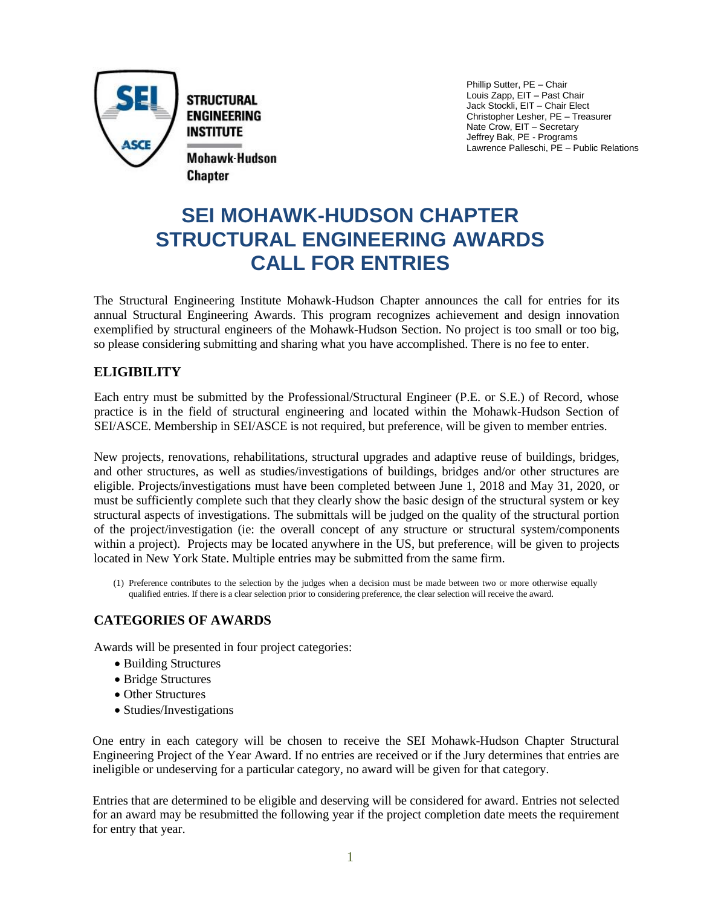

Phillip Sutter, PE – Chair Louis Zapp, EIT – Past Chair Jack Stockli, EIT – Chair Elect Christopher Lesher, PE – Treasurer Nate Crow, EIT – Secretary Jeffrey Bak, PE - Programs Lawrence Palleschi, PE – Public Relations

# **SEI MOHAWK-HUDSON CHAPTER STRUCTURAL ENGINEERING AWARDS CALL FOR ENTRIES**

The Structural Engineering Institute Mohawk-Hudson Chapter announces the call for entries for its annual Structural Engineering Awards. This program recognizes achievement and design innovation exemplified by structural engineers of the Mohawk-Hudson Section. No project is too small or too big, so please considering submitting and sharing what you have accomplished. There is no fee to enter.

# **ELIGIBILITY**

Each entry must be submitted by the Professional/Structural Engineer (P.E. or S.E.) of Record, whose practice is in the field of structural engineering and located within the Mohawk-Hudson Section of SEI/ASCE. Membership in SEI/ASCE is not required, but preference<sub>1</sub> will be given to member entries.

New projects, renovations, rehabilitations, structural upgrades and adaptive reuse of buildings, bridges, and other structures, as well as studies/investigations of buildings, bridges and/or other structures are eligible. Projects/investigations must have been completed between June 1, 2018 and May 31, 2020, or must be sufficiently complete such that they clearly show the basic design of the structural system or key structural aspects of investigations. The submittals will be judged on the quality of the structural portion of the project/investigation (ie: the overall concept of any structure or structural system/components within a project). Projects may be located anywhere in the US, but preference, will be given to projects located in New York State. Multiple entries may be submitted from the same firm.

(1) Preference contributes to the selection by the judges when a decision must be made between two or more otherwise equally qualified entries. If there is a clear selection prior to considering preference, the clear selection will receive the award.

# **CATEGORIES OF AWARDS**

Awards will be presented in four project categories:

- Building Structures
- Bridge Structures
- Other Structures
- Studies/Investigations

One entry in each category will be chosen to receive the SEI Mohawk-Hudson Chapter Structural Engineering Project of the Year Award. If no entries are received or if the Jury determines that entries are ineligible or undeserving for a particular category, no award will be given for that category.

Entries that are determined to be eligible and deserving will be considered for award. Entries not selected for an award may be resubmitted the following year if the project completion date meets the requirement for entry that year.